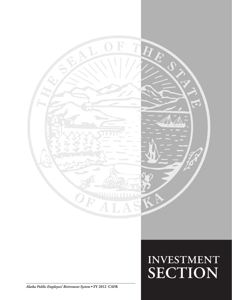

# $INVESTMENT$ **SECTION SECTION**

*Alaska Public Employees' Retirement System* **• FY 2012 CAFR**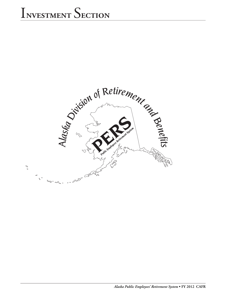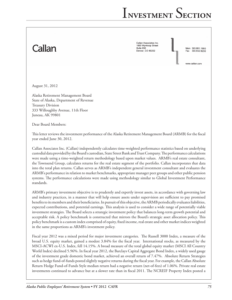# Callan

Callan Associates Inc 1660 Wynkoop Street Suite 950 Denver, CO 80202

Main 303.861.1900 303.832.8230

www.callan.com

August 31, 2012

Alaska Retirement Management Board State of Alaska, Department of Revenue Treasury Division 333 Willoughby Avenue, 11th Floor Juneau, AK 99801

Dear Board Members:

This letter reviews the investment performance of the Alaska Retirement Management Board (ARMB) for the fiscal year ended June 30, 2012.

Callan Associates Inc. (Callan) independently calculates time-weighted performance statistics based on underlying custodial data provided by the Board's custodian, State Street Bank and Trust Company. The performance calculations were made using a time-weighted return methodology based upon market values. ARMB's real estate consultant, the Townsend Group, calculates returns for the real estate segment of the portfolio. Callan incorporates that data into the total plan returns. Callan serves as ARMB's independent general investment consultant and evaluates the ARMB's performance in relation to market benchmarks, appropriate manager peer groups and other public pension systems. The performance calculations were made using methodology similar to Global Investment Performance standards.

ARMB's primary investment objective is to prudently and expertly invest assets, in accordance with governing law and industry practices, in a manner that will help ensure assets under supervision are sufficient to pay promised benefits to its members and their beneficiaries. In pursuit of this objective, the ARMB periodically evaluates liabilities, expected contributions, and potential earnings. This analysis is used to consider a wide range of potentially viable investment strategies. The Board selects a strategic investment policy that balances long-term growth potential and acceptable risk. A policy benchmark is constructed that mirrors the Board's strategic asset allocation policy. This policy benchmark is a custom index comprised of equity, fixed income, real estate and other market indices weighted in the same proportions as ARMB's investment policy.

Fiscal year 2012 was a mixed period for major investment categories. The Russell 3000 Index, a measure of the broad U.S. equity market, gained a modest 3.84% for the fiscal year. International stocks, as measured by the MSCI-ACWI ex-U.S. Index, fell 14.15%. A broad measure of the total global equity market (MSCI All Country World Index) declined 5.96%. In fiscal year 2012, the Barclays Capital Aggregate Bond Index, a widely used gauge of the investment grade domestic bond market, achieved an overall return of 7.47%. Absolute Return Strategies such as hedge fund-of-funds posted slightly negative returns during the fiscal year. For example, the Callan Absolute Return Hedge Fund-of-Funds Style median return had a negative return (net-of-fees) of 1.06%. Private real estate investments continued to advance but at a slower rate than in fiscal 2011. The NCREIF Property Index posted a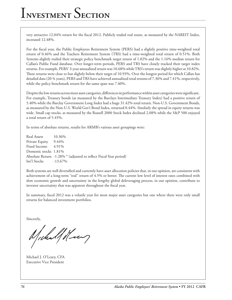very attractive 12.04% return for the fiscal 2012. Publicly traded real estate, as measured by the NAREIT Index, increased 12.48%.

For the fiscal year, the Public Employees Retirement System (PERS) had a slightly positive time-weighted total return of 0.46% and the Teachers Retirement System (TRS) had a time-weighted total return of 0.51%. Both Systems slightly trailed their strategic policy benchmark target return of 1.02% and the 1.16% median return for Callan's Public Fund database. Over longer-term periods, PERS and TRS have closely tracked their target index returns. For example, PERS' 3-year annualized return was 10.68% while TRS's return was slightly higher at 10.82%. These returns were close to but slightly below their target of 10.93%. Over the longest period for which Callan has detailed data (20 ¾ years), PERS and TRS have achieved annualized total returns of 7.36% and 7.41%, respectively, while the policy benchmark return for the same span was 7.40%.

Despite the low returns across most asset categories, differences in performance within asset categories were significant. For example, Treasury bonds (as measured by the Barclays Intermediate Treasury Index) had a positive return of 5.40% while the Barclay Government Long Index had a huge 31.42% total return. Non-U.S. Government Bonds, as measured by the Non-U.S. World Gov't Bond Index, returned 0.44%. Similarly the spread in equity returns was wide. Small cap stocks, as measured by the Russell 2000 Stock Index declined 2.08% while the S&P 500 enjoyed a total return of 5.45%.

In terms of absolute returns, results for ARMB's various asset groupings were:

Real Assets 10.36% Private Equity 9.44% Fixed Income 4.91% Domestic stocks 1.81% Absolute Return -1.28% \* (adjusted to reflect Fiscal Year period) Int'l Stocks -13.67%

Both systems are well diversified and currently have asset allocation policies that, in our opinion, are consistent with achievement of a long-term "real" return of 4.5% or better. The current low level of interest rates combined with slow economic growth and uncertainty in the lengthy global deleveraging process, in our opinion, contribute to investor uncertainty that was apparent throughout the fiscal year.

In summary, fiscal 2012 was a volatile year for most major asset categories but one where there were only small returns for balanced investment portfolios.

Sincerely,

Michalf Henry

Michael J. O'Leary, CFA Executive Vice President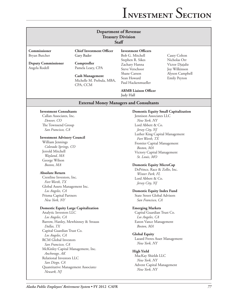| <b>Department of Revenue</b><br><b>Treasury Division</b><br>Staff |                                                                 |                                                      |                                                  |  |
|-------------------------------------------------------------------|-----------------------------------------------------------------|------------------------------------------------------|--------------------------------------------------|--|
| Commissioner<br>Bryan Butcher                                     | <b>Chief Investment Officer</b><br>Gary Bader                   | <b>Investment Officers</b><br>Bob G. Mitchell        | Casey Colton                                     |  |
| <b>Deputy Commissioner</b><br>Angela Rodell                       | Comptroller<br>Pamela Leary, CPA                                | Stephen R. Sikes<br>Zachary Hanna<br>Steve Verschoor | Nicholas Orr<br>Victor Djajalie<br>Joy Wilkinson |  |
|                                                                   | <b>Cash Management</b><br>Michelle M. Prebula, MBA,<br>CPA, CCM | Shane Carson<br>Sean Howard<br>Paul Hackenmueller    | Alyson Campbell<br><b>Emily Peyton</b>           |  |
|                                                                   |                                                                 | <b>ARMB</b> Liaison Officer<br>Judy Hall             |                                                  |  |
|                                                                   | <b>External Money Managers and Consultants</b>                  |                                                      |                                                  |  |
| <b>Investment Consultants</b>                                     |                                                                 | <b>Domestic Equity Small Capitalization</b>          |                                                  |  |
| Callan Associates, Inc.                                           |                                                                 | Jennison Associates LLC                              |                                                  |  |
| Denver, CO                                                        |                                                                 | New York, NY                                         |                                                  |  |
| The Townsend Group                                                |                                                                 | Lord Abbett & Co.                                    |                                                  |  |
| San Francisco, CA                                                 |                                                                 | Jersey City, NJ                                      |                                                  |  |
|                                                                   |                                                                 | Luther King Capital Management                       |                                                  |  |
| <b>Investment Advisory Council</b>                                |                                                                 | Fort Worth, TX                                       |                                                  |  |
| William Jennings                                                  |                                                                 | Frontier Capital Management                          |                                                  |  |
| Colorado Springs, CO                                              |                                                                 | Boston, MA                                           |                                                  |  |
| Jerrold Mitchell                                                  |                                                                 | Victory Capital Management                           |                                                  |  |
| Wayland, MA                                                       |                                                                 | St. Louis, MO                                        |                                                  |  |
| George Wilson                                                     |                                                                 |                                                      |                                                  |  |
| Boston, MA                                                        |                                                                 | <b>Domestic Equity MicroCap</b>                      |                                                  |  |
|                                                                   |                                                                 | DePrince, Race & Zollo, Inc.                         |                                                  |  |
| <b>Absolute Return</b>                                            |                                                                 | Winter Park, FL                                      |                                                  |  |
| Crestline Investors, Inc.                                         |                                                                 | Lord Abbett & Co.                                    |                                                  |  |
| Fort Worth, TX                                                    |                                                                 | Jersey City, NJ                                      |                                                  |  |
| Global Assets Management Inc.                                     |                                                                 |                                                      |                                                  |  |
| Los Angeles, CA                                                   |                                                                 | <b>Domestic Equity Index Fund</b>                    |                                                  |  |
| Prisma Capital Partners                                           |                                                                 | State Street Global Advisors                         |                                                  |  |
| New York, NY                                                      |                                                                 | San Francisco, CA                                    |                                                  |  |
|                                                                   |                                                                 |                                                      |                                                  |  |
| <b>Domestic Equity Large Capitalization</b>                       |                                                                 | <b>Emerging Markets</b>                              |                                                  |  |
| Analytic Investors LLC                                            |                                                                 | Capital Guardian Trust Co.                           |                                                  |  |
| Los Angeles, CA                                                   |                                                                 | Los Angeles, CA                                      |                                                  |  |
| Barrow, Hanley, Mewhinney & Strauss                               |                                                                 | Eaton Vance Management                               |                                                  |  |
| Dallas, TX                                                        |                                                                 | Boston, MA                                           |                                                  |  |
| Capital Guardian Trust Co.                                        |                                                                 |                                                      |                                                  |  |
| Los Angeles, CA                                                   |                                                                 | <b>Global Equity</b>                                 |                                                  |  |
| RCM Global Investors                                              |                                                                 | Lazard Freres Asset Management                       |                                                  |  |
| San Francisco, CA                                                 |                                                                 | New York, NY                                         |                                                  |  |
| McKinley Capital Management, Inc.                                 |                                                                 |                                                      |                                                  |  |
| Anchorage, AK                                                     |                                                                 | <b>High Yield</b>                                    |                                                  |  |
| Relational Investors LLC                                          |                                                                 | MacKay Shields LLC                                   |                                                  |  |
| San Diego, CA                                                     |                                                                 | New York, NY                                         |                                                  |  |
| Quantitative Management Associates                                |                                                                 | Advent Capital Management                            |                                                  |  |
| Newark, NJ                                                        |                                                                 | New York, NY                                         |                                                  |  |
|                                                                   |                                                                 |                                                      |                                                  |  |
|                                                                   |                                                                 |                                                      |                                                  |  |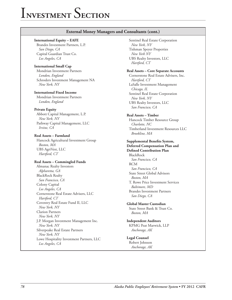#### **External Money Managers and Consultants (cont.)**

#### **International Equity – EAFE**

Brandes Investment Partners, L.P. *San Diego, CA* Capital Guardian Trust Co. *Los Angeles, CA*

#### **International Small Cap**

Mondrian Investment Partners *London, England* Schroders Investment Management NA *New York, NY*

#### **International Fixed Income**

Mondrian Investment Partners *London, England*

#### **Private Equity**

Abbott Capital Management, L.P. *New York, NY* Pathway Capital Management, LLC *Irvine, CA*

#### **Real Assets – Farmland**

Hancock Agricultural Investment Group *Boston, MA* UBS AgriVest, LLC *Hartford, CT*

#### **Real Assets – Commingled Funds**

Almanac Realty Investors *Alpharetta, GA* BlackRock Realty *San Francisco, CA* Colony Capital *Los Angeles, CA* Cornerstone Real Estate Advisers, LLC *Hartford, CT* Coventry Real Estate Fund II, LLC *New York, NY* Clarion Partners *New York, NY* J.P. Morgan Investment Management Inc. *New York, NY* Silverpeake Real Estate Partners *New York, NY* Lowe Hospitality Investment Partners, LLC *Los Angeles, CA*

Sentinel Real Estate Corporation *New York, NY* Tishman Speyer Properties *New York NY* UBS Realty Investors, LLC *Hartford, CT*

#### **Real Assets – Core Separate Accounts**

Cornerstone Real Estate Advisers, Inc. *Hartford, CT* LaSalle Investment Management *Chicago, IL* Sentinel Real Estate Corporation *New York, NY* UBS Realty Investors, LLC *San Francisco, CA*

#### **Real Assets – Timber**

Hancock Timber Resource Group *Charlotte, NC* Timberland Investment Resources LLC *Brookline, MA*

#### **Supplemental Benefits System,**

**Deferred Compensation Plan and Defined Contribution Plan** BlackRock

*San Francisco, CA* RCM *San Francisco, CA* State Street Global Advisors *Boston, MA* T. Rowe Price Investment Services *Baltimore, MD* Brandes Investment Partners *San Diego, CA* 

#### **Global Master Custodian**

State Street Bank & Trust Co. *Boston, MA*

#### **Independent Auditors** KPMG Peat Marwick, LLP *Anchorage, AK*

## **Legal Counsel**

Robert Johnson *Anchorage, AK*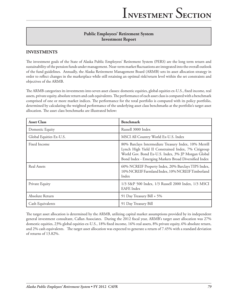## **Public Employees' Retirement System Investment Report**

### **INVESTMENTS**

The investment goals of the State of Alaska Public Employees' Retirement System (PERS) are the long term return and sustainability of the pension funds under management. Near-term market fluctuations are integrated into the overall outlook of the fund guidelines. Annually, the Alaska Retirement Management Board (ARMB) sets its asset allocation strategy in order to reflect changes in the marketplace while still retaining an optimal risk/return level within the set constraints and objectives of the ARMB.

The ARMB categorizes its investments into seven asset classes: domestic equities, global equities ex-U.S., fixed income, real assets, private equity, absolute return and cash equivalents. The performance of each asset class is compared with a benchmark comprised of one or more market indices. The performance for the total portfolio is compared with its policy portfolio, determined by calculating the weighted performance of the underlying asset class benchmarks at the portfolio's target asset allocation. The asset class benchmarks are illustrated below:

| <b>Asset Class</b>      | <b>Benchmark</b>                                                                                                                                                                                                            |
|-------------------------|-----------------------------------------------------------------------------------------------------------------------------------------------------------------------------------------------------------------------------|
| Domestic Equity         | Russell 3000 Index                                                                                                                                                                                                          |
| Global Equities Ex-U.S. | MSCI All Country World Ex-U.S. Index                                                                                                                                                                                        |
| Fixed Income            | 80% Barclays Intermediate Treasury Index, 10% Merrill<br>Lynch High Yield II Constrained Index, 7% Citigroup<br>World Gov. Bond Ex-U.S. Index, 3% JP Morgan Global<br>Bond Index - Emerging Markets Broad Diversified Index |
| Real Assets             | 60% NCREIF Property Index, 20% Barclays TIPS Index,<br>10% NCREIF Farmland Index, 10% NCREIF Timberland<br>Index                                                                                                            |
| Private Equity          | 1/3 S&P 500 Index, 1/3 Russell 2000 Index, 1/3 MSCI<br><b>EAFE</b> Index                                                                                                                                                    |
| Absolute Return         | 91 Day Treasury Bill + 5%                                                                                                                                                                                                   |
| Cash Equivalents        | 91 Day Treasury Bill                                                                                                                                                                                                        |

The target asset allocation is determined by the ARMB, utilizing capital market assumptions provided by its independent general investment consultant, Callan Associates. During the 2012 fiscal year, ARMB's target asset allocation was 27% domestic equities, 23% global equities ex-U.S., 18% fixed income, 16% real assets, 8% private equity, 6% absolute return, and 2% cash equivalents. The target asset allocation was expected to generate a return of 7.45% with a standard deviation of returns of 13.82%.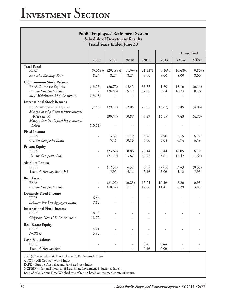| <b>Public Employees' Retirement System</b><br><b>Schedule of Investment Results</b><br><b>Fiscal Years Ended June 30</b> |                          |                     |                |                |                |                |                |
|--------------------------------------------------------------------------------------------------------------------------|--------------------------|---------------------|----------------|----------------|----------------|----------------|----------------|
|                                                                                                                          |                          |                     |                |                |                | Annualized     |                |
|                                                                                                                          | 2008                     | 2009                | 2010           | 2011           | 2012           | 3 Year         | 5 Year         |
| <b>Total Fund</b><br><b>PERS</b><br>Actuarial Earnings Rate                                                              | $(3.06\%)$<br>8.25       | $(20.49\%)$<br>8.25 | 11.39%<br>8.25 | 21.22%<br>8.00 | 0.46%<br>8.00  | 10.68%<br>8.00 | 0.86%<br>8.00  |
| <b>U.S. Common Stock Returns</b><br>PERS Domestic Equities<br>Custom Composite Index<br>S&P 500/Russell 2000 Composite   | (13.53)<br>(13.68)       | (26.72)<br>(26.56)  | 15.45<br>15.72 | 33.37<br>32.37 | 1.80<br>3.84   | 16.16<br>16.73 | (0.14)<br>0.16 |
| <b>International Stock Returns</b>                                                                                       |                          |                     |                |                |                |                |                |
| PERS International Equities                                                                                              | (7.58)                   | (29.11)             | 12.05          | 28.27          | (13.67)        | 7.45           | (4.06)         |
| Morgan Stanley Capital International<br>ACWI ex-US<br>Morgan Stanley Capital International                               |                          | (30.54)             | 10.87          | 30.27          | (14.15)        | 7.43           | (4.70)         |
| <b>EAFE</b>                                                                                                              | (10.61)                  |                     |                |                |                |                |                |
| <b>Fixed Income</b><br><b>PERS</b><br>Custom Composite Index                                                             | -<br>÷                   | 3.39<br>5.41        | 11.19<br>10.16 | 5.46<br>5.06   | 4.90<br>5.08   | 7.15<br>6.74   | 6.27<br>6.59   |
| <b>Private Equity</b>                                                                                                    |                          |                     |                |                |                |                |                |
| <b>PERS</b><br>Custom Composite Index                                                                                    | $\overline{\phantom{a}}$ | (23.67)<br>(27.19)  | 18.86<br>13.87 | 20.14<br>32.93 | 9.44<br>(3.61) | 16.05<br>13.42 | 6.19<br>(1.63) |
| <b>Absolute Return</b><br><b>PERS</b><br>3-month Treasury Bill +5%                                                       | $\overline{\phantom{a}}$ | (12.51)<br>5.95     | 6.59<br>5.16   | 5.98<br>5.16   | (2.05)<br>5.06 | 3.43<br>5.12   | (0.35)<br>5.93 |
| <b>Real Assets</b><br><b>PERS</b><br>Custom Composite Index                                                              | $\overline{\phantom{a}}$ | (21.02)<br>(10.82)  | (0.28)<br>1.17 | 15.25<br>12.66 | 10.46<br>11.41 | 8.20<br>8.29   | 0.93<br>3.88   |
| <b>Domestic Fixed-Income</b><br><b>PERS</b><br>Lehman Brothers Aggregate Index                                           | 6.58<br>7.12             |                     |                |                |                |                |                |
| <b>International Fixed-Income</b><br><b>PERS</b><br>Citigroup Non-U.S. Government                                        | 18.96<br>18.72           |                     |                |                |                |                |                |
| <b>Real Estate Equity</b><br><b>PERS</b><br><b>NCREIF</b>                                                                | 5.71<br>6.82             |                     |                |                |                |                |                |
| <b>Cash Equivalents</b><br><b>PERS</b><br>3-month Treasury Bill                                                          |                          |                     |                | 0.47<br>0.16   | 0.44<br>0.06   |                |                |

S&P 500 = Standard & Poor's Domestic Equity Stock Index

ACWI = Alll Country World Index

EAFE = Europe, Australia, and Far East Stock Index

NCREIF = National Council of Real Estate Investment Fiduciaries Index

Basis of calculation: Time-Weighed rate of return based on the market rate of return.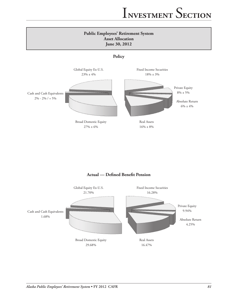### **Public Employees' Retirement System Asset Allocation June 30, 2012**

**Policy**



## **Actual — Defined Benefit Pension**

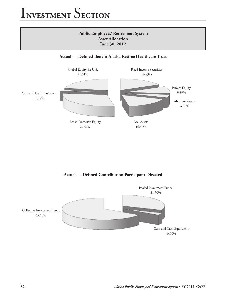

## **Actual — Defined Contribution Participant Directed**

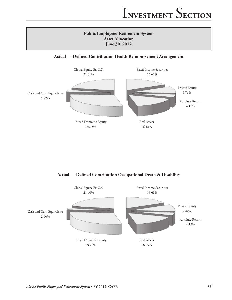# **Public Employees' Retirement System Asset Allocation June 30, 2012**

### **Actual — Defined Contribution Health Reimbursement Arrangement**



**Actual — Defined Contribution Occupational Death & Disability**

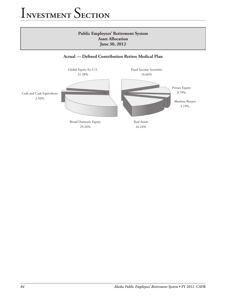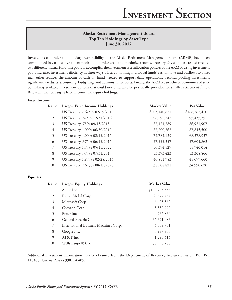## **Alaska Retirement Management Board Top Ten Holdings by Asset Type June 30, 2012**

Invested assets under the fiduciary responsibility of the Alaska Retirement Management Board (ARMB) have been commingled in various investment pools to minimize costs and maximize returns. Treasury Division has created twentytwo different mutual fund-like pools to accomplish the investment asset allocation policies of the ARMB. Using investment pools increases investment efficiency in three ways. First, combining individual funds' cash inflows and outflows to offset each other reduces the amount of cash on hand needed to support daily operations. Second, pooling investments significantly reduces accounting, budgeting, and administrative costs. Finally, the ARMB can achieve economies of scale by making available investment options that could not otherwise be practically provided for smaller retirement funds. Below are the ten largest fixed income and equity holdings.

#### **Fixed Income**

| Rank           | <b>Largest Fixed Income Holdings</b> | <b>Market Value</b> | Par Value     |
|----------------|--------------------------------------|---------------------|---------------|
|                | US Treasury 2.625% 02/29/2016        | \$203,140,821       | \$188,762,410 |
| 2              | US Treasury .875% 12/31/2016         | 96,292,742          | 95,435,351    |
| 3              | US Treasury .75% 09/15/2013          | 87,424,289          | 86,931,907    |
| $\overline{4}$ | US Treasury 1.00% 06/30/2019         | 87,200,363          | 87,845,500    |
| 5              | US Treasury 4.00% 02/15/2015         | 74,784,129          | 68,378,937    |
| 6              | US Treasury .375% 06/15/2015         | 57, 555, 357        | 57,604,862    |
| 7              | US Treasury 1.75% 05/15/2022         | 56,394,527          | 55,940,014    |
| 8              | US Treasury .375% 07/31/2013         | 53,373,423          | 53,308,866    |
| 9              | US Treasury 1.875% 02/28/2014        | 46,851,983          | 45,679,660    |
| 10             | US Treasury 2.625% 08/15/2020        | 38,508,821          | 34,990,620    |

#### **Equities**

| Rank | <b>Largest Equity Holdings</b>        | <b>Market Value</b> |
|------|---------------------------------------|---------------------|
| 1    | Apple Inc.                            | \$108,265,553       |
| 2    | Exxon Mobil Corp.                     | 68,327,434          |
| 3    | Microsoft Corp.                       | 46, 405, 362        |
| 4    | Chevron Corp.                         | 43,339,770          |
| 5    | Pfizer Inc.                           | 40,235,834          |
| 6    | General Electric Co.                  | 37, 321, 083        |
| 7    | International Business Machines Corp. | 34,009,701          |
| 8    | Google Inc.                           | 33,987,833          |
| 9    | AT&T Inc.                             | 31,295,414          |
| 10   | Wells Fargo & Co.                     | 30,995,755          |

Additional investment information may be obtained from the Department of Revenue, Treasury Division, P.O. Box 110405, Juneau, Alaska 99811-0405.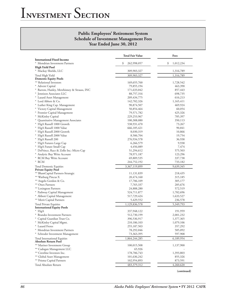### **Public Employees' Retirement System Schedule of Investment Management Fees Year Ended June 30, 2012**

|                                                             | <b>Total Fair Value</b>  | Fees               |
|-------------------------------------------------------------|--------------------------|--------------------|
| <b>International Fixed Income</b>                           |                          |                    |
| * Mondrian Investment Partners                              | \$<br>262,998,057        | \$<br>1,012,234    |
| High Yield Pool<br>* Mackay Shields, LLC                    | 309,903,327              | 1,316,789          |
|                                                             |                          |                    |
| Total High Yield<br><b>Domestic Equity Pools</b>            | 309,903,327              | 1,316,789          |
| ** Relational Investors                                     | 169,655,760              | 1,728,542          |
| * Advent Capital                                            | 79,855,194               | 463,390            |
| * Barrow, Hanley, Mewhinney & Strauss, INC                  | 171,633,042              | 857,443            |
| * Jennison Associates LLC                                   | 88,757,316               | 698,735            |
| * Lazard Asset Management                                   | 209, 434, 775            | 616,213            |
| * Lord Abbett & Co.                                         | 142,782,326              | 1,165,411          |
| * Luther King Cap. Management                               | 90,874,507               | 469,924            |
| * Victory Capital Management                                | 50,854,464               | 60,054             |
| * Frontier Capital Management                               | 79,571,782               | 425,326            |
| * McKinley Capital                                          | 229, 253, 967            | 785,397            |
| * Quantitative Management Associates                        | 100,308,080              | 350,113            |
| * SSgA Russell 1000 Growth                                  | 538,931,470              | 73,267             |
| * SSgA Russell 1000 Value                                   | 666,185,421              | 90,841             |
| * SSgA Russell 2000 Growth                                  | 8,030,319                | 10,866             |
| * SSgA Russell 2000 Value                                   | 8,506,704                | 19,754             |
| * SSgA Russell 200                                          | 276,934,578              | 36,938             |
| * SSgA Futures Large Cap                                    | 6,266,579                | 9,938              |
| * SSgA Future Small Cap                                     | 4,456,089                | 7,474              |
| * DePrince, Race & Zollo Inc.-Micro Cap                     | 51,294,612               | 575,503            |
| * Analytic Buy Write Account                                | 78,971,187               | 123,296            |
| * RCM Buy Write Account                                     | 69,809,535               | 337,738            |
| * RCM                                                       | 244,752,192              | 733,182            |
| <b>Total Domestic Equities</b>                              | 3,367,119,899            | 9,639,345          |
| <b>Private Equity Pool</b>                                  |                          |                    |
| ** BlumCapital Partners-Strategic                           | 11,131,839               | 218,435            |
| ** Warburg Pincus X                                         | 20,474,160               | 315,185            |
| ** Angelo Gordon & Co.                                      | 17,706,109               | 305,177            |
| ** Onex Partners                                            | 7,765,337                | 285,676            |
| ** Lexington Partners                                       | 24,888,280               | 572,519            |
| * Pathway Capital Management                                | 524,711,877              | 1,782,696          |
| * Abbott Capital Management                                 | 517,729,424              | 1,633,527          |
| ** Merit Capital Partners                                   | 5,429,552                | 236,578            |
| Total Private Equities                                      | 1,129,836,578            | 5,349,793          |
| <b>International Equity Pools</b>                           |                          |                    |
| * SSgA                                                      | 337,948,122              | 191,959            |
| * Brandes Investment Partners                               | 512,730,199              | 2,001,232          |
| * Capital Guardian Trust Co.                                | 396,536,917              | 1,377,365          |
| * McKinley Capital Mgmt.                                    | 210,186,103              | 1,079,106          |
| * Lazard Freres<br>* Mondrian Investment Partners           | 255,187,503              | 357,292<br>585,092 |
| * Schroder Investment Management                            | 78,292,046<br>73,363,395 | 597,908            |
|                                                             |                          |                    |
| Total International Equities<br><b>Absolute Return Pool</b> | 1,864,244,285            | 6,189,954          |
| ** Mariner Investment Group                                 | 100,015,508              | 1,137,900          |
| ** Cadogan Management LLC                                   | 65,926                   |                    |
| ** Crestline Investors Inc.                                 | 178,706,743              | 1,393,803          |
| ** Global Asset Management                                  | 101,636,242              | 855,326            |
| ** Prisma Capital Partners                                  | 102,954,893              | 873,591            |
| Total Absolute Return                                       | 483,379,312              | 4,260,620          |
|                                                             |                          |                    |

**(continued)**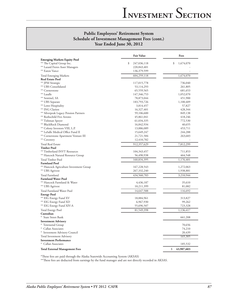### **Public Employees' Retirement System Schedule of Investment Management Fees (cont.) Year Ended June 30, 2012**

|                                                          | <b>Fair Value</b>          | Fees              |
|----------------------------------------------------------|----------------------------|-------------------|
| <b>Emerging Markets Equity Pool</b>                      |                            |                   |
| ** The Capital Group Inc.                                | \$<br>247,036,118          | \$<br>1,674,070   |
| ** Lazard Freres Asset Managers<br>** Eaton Vance        | 220,843,401<br>136,379,599 |                   |
|                                                          |                            |                   |
| <b>Total Emerging Markets</b><br><b>Real Estate Pool</b> | 604,259,118                | 1,674,070         |
| ** JPM Strategic                                         | 117,015,778                | 736,040           |
| ** UBS Consolidated                                      | 53,114,293                 | 261,805           |
| ** Cornerstone                                           | 65,559,565                 | 681,653           |
| ** Lasalle                                               | 147,346,753                | 1,052,070         |
| ** Sentinel, SA                                          | 78,873,044                 | 451,900           |
| ** UBS Separate                                          | 183,793,726                | 1,100,409         |
| ** Lowe Hospitality                                      | 3,814,457                  | 57,827            |
| ** ING Clarion                                           | 16,327,401                 | 428,344           |
| ** Silverpeak Legacy Pension Partners                    | 59,106,600                 | 849,138           |
| ** Rothschild Five Arrows                                | 45,861,041                 | 418,246           |
| ** Tishman Speyer                                        | 61,034,335                 | 772,530           |
| ** BlackRock Diamond                                     | 16,842,934                 | 40,655            |
| ** Colony Investors VIII, L.P.                           | 13,886,089                 | 453,711           |
| ** LaSalle Medical Office Fund II                        | 15,649,247                 | 244,288           |
| ** Cornerstone Apartment Venture III                     | 21,721,584                 | 263,683           |
| ** Coventry                                              | 12,410,782                 |                   |
| <b>Total Real Estate</b>                                 | 912,357,629                | 7,812,299         |
| <b>Timber Pool</b>                                       |                            |                   |
| ** Timberland INVT Resources                             | 104,343,457                | 711,853           |
| ** Hancock Natural Resource Group                        | 56,490,938                 | 464,548           |
| Total Timber Pool                                        | 160,834,395                | 1,176,401         |
| <b>Farmland Pool</b>                                     |                            |                   |
| ** Hancock Agriculture Investment Group                  | 167,228,543                | 1,272,063         |
| ** UBS Agrivest                                          | 267, 332, 240              | 1,938,881         |
| Total Farmland                                           | 434,560,783                | 3,210,944         |
| <b>Farmland Water Pool</b>                               |                            |                   |
| ** Hancock Farmland & Water                              | 4,436,187                  | 35,610            |
| ** UBS Agrivest                                          | 10,211,399                 | 81,082            |
| Total Farmland Water Pool                                | 14,647,588                 | 116,692           |
| <b>Energy Pool</b><br>** EIG Energy Fund XV              |                            |                   |
| ** EIG Energy Fund XD                                    | 18,884,961                 | 313,827           |
| ** EIG Energy Fund XIV-A                                 | 6,967,930<br>55,696,507    | 99,262<br>723,328 |
|                                                          |                            |                   |
| <b>Total Energy Pool</b><br>Custodian                    | 81,549,398                 | 1,136,417         |
| * State Street Bank                                      |                            | 661,208           |
| <b>Investment Advisory</b>                               |                            |                   |
| * Townsend Group                                         |                            | 70,656            |
| * Callan Associates                                      |                            | 74,210            |
| * Investment Advisory Council                            |                            | 20,439            |
| Total Investment Advisory                                |                            | 165,305           |
| <b>Investment Performance</b>                            |                            |                   |
| * Callan Associates                                      |                            | 185,532           |
| <b>Total External Management Fees</b>                    |                            | \$<br>43,907,603  |

\*These fees are paid through the Alaska Statewide Accounting System (AKSAS)

\*\*These fees are deducted from earnings by the fund manager and are not directly recorded in AKSAS.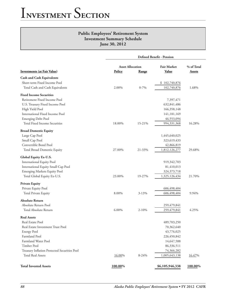|                                              | <b>Defined Benefit - Pension</b> |           |                    |               |  |
|----------------------------------------------|----------------------------------|-----------|--------------------|---------------|--|
|                                              | <b>Asset Allocation</b>          |           | <b>Fair Market</b> | % of Total    |  |
| <b>Investments (at Fair Value)</b>           | Policy                           | Range     | <b>Value</b>       | <b>Assets</b> |  |
| <b>Cash and Cash Equivalents</b>             |                                  |           |                    |               |  |
| Short-term Fixed Income Pool                 |                                  |           | \$102,740,876      |               |  |
| Total Cash and Cash Equivalents              | 2.00%                            | $0 - 7\%$ | 102,740,876        | 1.68%         |  |
| <b>Fixed Income Securities</b>               |                                  |           |                    |               |  |
| Retirement Fixed Income Pool                 |                                  |           | 7,397,471          |               |  |
| U.S. Treasury Fixed Income Pool              |                                  |           | 632,841,486        |               |  |
| High Yield Pool                              |                                  |           | 166,358,148        |               |  |
| <b>International Fixed Income Pool</b>       |                                  |           | 141,181,169        |               |  |
| <b>Emerging Debt Pool</b>                    |                                  |           | 46,553,094         |               |  |
| Total Fixed Income Securities                | 18.00%                           | 15-21%    | 994,331,368        | 16.28%        |  |
| <b>Broad Domestic Equity</b>                 |                                  |           |                    |               |  |
| Large Cap Pool                               |                                  |           | 1,445,640,025      |               |  |
| Small Cap Pool                               |                                  |           | 323,619,433        |               |  |
| Convertible Bond Pool                        |                                  |           | 42,866,819         |               |  |
| Total Broad Domestic Equity                  | 27.00%                           | 21-33%    | 1,812,126,277      | 29.68%        |  |
| Global Equity Ex-U.S.                        |                                  |           |                    |               |  |
| International Equity Pool                    |                                  |           | 919,342,703        |               |  |
| International Equity Small Cap Pool          |                                  |           | 81,410,013         |               |  |
| Emerging Markets Equity Pool                 |                                  |           | 324, 373, 718      |               |  |
| Total Global Equity Ex-U.S.                  | 23.00%                           | 19-27%    | 1,325,126,434      | 21.70%        |  |
| <b>Private Equity</b>                        |                                  |           |                    |               |  |
| Private Equity Pool                          |                                  |           | 606,498,404        |               |  |
| Total Private Equity                         | 8.00%                            | 3-13%     | 606,498,404        | 9.94%         |  |
| <b>Absolute Return</b>                       |                                  |           |                    |               |  |
| Absolute Return Pool                         |                                  |           | 259,479,841        |               |  |
| Total Absolute Return                        | 6.00%                            | $2 - 10%$ | 259,479,841        | 4.25%         |  |
| <b>Real Assets</b>                           |                                  |           |                    |               |  |
| Real Estate Pool                             |                                  |           | 489,703,250        |               |  |
| Real Estate Investment Trust Pool            |                                  |           | 70,362,640         |               |  |
| <b>Energy Pool</b>                           |                                  |           | 43,776,025         |               |  |
| Farmland Pool                                |                                  |           | 226,450,842        |               |  |
| Farmland Water Pool                          |                                  |           | 14,647,588         |               |  |
| Timber Pool                                  |                                  |           | 86,336,511         |               |  |
| Treasury Inflation Protected Securities Pool |                                  |           | 74,366,282         |               |  |
| Total Real Assets                            | 16.00%                           | $8 - 24%$ | 1,005,643,138      | 16.47%        |  |
| <b>Total Invested Assets</b>                 | 100.00%                          |           | \$6,105,946,338    | 100.00%       |  |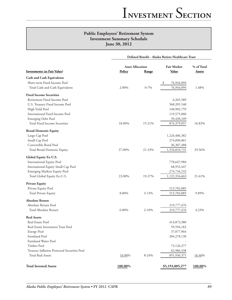|                                              | Defined Benefit - Alaska Retiree Healthcare Trust |           |                    |               |  |  |
|----------------------------------------------|---------------------------------------------------|-----------|--------------------|---------------|--|--|
|                                              | <b>Asset Allocation</b>                           |           | <b>Fair Market</b> | % of Total    |  |  |
| <b>Investments (at Fair Value)</b>           | <b>Policy</b>                                     | Range     | <b>Value</b>       | <b>Assets</b> |  |  |
| <b>Cash and Cash Equivalents</b>             |                                                   |           |                    |               |  |  |
| Short-term Fixed Income Pool                 |                                                   |           | 76,944,094<br>\$   |               |  |  |
| Total Cash and Cash Equivalents              | 2.00%                                             | $0 - 7\%$ | 76,944,094         | 1.48%         |  |  |
| <b>Fixed Income Securities</b>               |                                                   |           |                    |               |  |  |
| Retirement Fixed Income Pool                 |                                                   |           | 6,265,589          |               |  |  |
| U.S. Treasury Fixed Income Pool              |                                                   |           | 568,205,540        |               |  |  |
| High Yield Pool                              |                                                   |           | 140,902,759        |               |  |  |
| International Fixed Income Pool              |                                                   |           | 119,575,060        |               |  |  |
| <b>Emerging Debt Pool</b>                    |                                                   |           | 39,430,109         |               |  |  |
| Total Fixed Income Securities                | 18.00%                                            | 15-21%    | 874,379,057        | 16.83%        |  |  |
| <b>Broad Domestic Equity</b>                 |                                                   |           |                    |               |  |  |
| Large Cap Pool                               |                                                   |           | 1,224,406,382      |               |  |  |
| Small Cap Pool                               |                                                   |           | 274,096,861        |               |  |  |
| Convertible Bond Pool                        |                                                   |           | 36,307,488         |               |  |  |
| Total Broad Domestic Equity                  | 27.00%                                            | 21-33%    | 1,534,810,731      | 29.56%        |  |  |
| Global Equity Ex-U.S.                        |                                                   |           |                    |               |  |  |
| International Equity Pool                    |                                                   |           | 778,647,984        |               |  |  |
| International Equity Small Cap Pool          |                                                   |           | 68,952,447         |               |  |  |
| Emerging Markets Equity Pool                 |                                                   |           | 274,734,232        |               |  |  |
| Total Global Equity Ex-U.S.                  | 23.00%                                            | 19-27%    | 1,122,334,663      | 21.61%        |  |  |
| <b>Private Equity</b>                        |                                                   |           |                    |               |  |  |
| Private Equity Pool                          |                                                   |           | 513,702,885        |               |  |  |
| <b>Total Private Equity</b>                  | 8.00%                                             | $3 - 13%$ | 513,702,885        | 9.89%         |  |  |
| <b>Absolute Return</b>                       |                                                   |           |                    |               |  |  |
| Absolute Return Pool                         |                                                   |           | 219,777,476        |               |  |  |
| Total Absolute Return                        | 6.00%                                             | $2 - 10%$ | 219,777,476        | 4.23%         |  |  |
| <b>Real Assets</b>                           |                                                   |           |                    |               |  |  |
| Real Estate Pool                             |                                                   |           | 414,873,380        |               |  |  |
| Real Estate Investment Trust Pool            |                                                   |           | 59,594,182         |               |  |  |
| <b>Energy Pool</b>                           |                                                   |           | 37,077,964         |               |  |  |
| Farmland Pool                                |                                                   |           | 204,278,130        |               |  |  |
| Farmland Water Pool                          |                                                   |           |                    |               |  |  |
| Timber Pool                                  |                                                   |           | 73,126,377         |               |  |  |
| Treasury Inflation Protected Securities Pool |                                                   |           | 62,986,338         |               |  |  |
| <b>Total Real Assets</b>                     | 16.00%                                            | $8 - 24%$ | 851,936,371        | 16.40%        |  |  |
| <b>Total Invested Assets</b>                 | 100.00%                                           |           | \$5,193,885,277    | 100.00%       |  |  |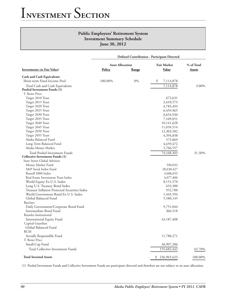|                                               | <b>Defined Contribution - Participant Directed</b> |              |                           |            |  |  |
|-----------------------------------------------|----------------------------------------------------|--------------|---------------------------|------------|--|--|
|                                               | <b>Asset Allocation</b>                            |              | <b>Fair Market</b>        | % of Total |  |  |
| <b>Investments (at Fair Value)</b>            | <b>Policy</b>                                      | <b>Range</b> | Value                     | Assets     |  |  |
| <b>Cash and Cash Equivalents</b>              |                                                    |              |                           |            |  |  |
| Short-term Fixed Income Pool                  | 100.00%                                            | $0\%$        | \$<br>7,114,878           |            |  |  |
| Total Cash and Cash Equivalents               |                                                    |              | 7,114,878                 | 3.00%      |  |  |
| Pooled Investment Funds (1)                   |                                                    |              |                           |            |  |  |
| T. Rowe Price                                 |                                                    |              |                           |            |  |  |
| Target 2010 Trust                             |                                                    |              | 672,631                   |            |  |  |
| Target 2015 Trust                             |                                                    |              | 2,610,573                 |            |  |  |
| Target 2020 Trust                             |                                                    |              | 4,785,493                 |            |  |  |
| Target 2025 Trust                             |                                                    |              | 6,459,965                 |            |  |  |
| Target 2030 Trust                             |                                                    |              | 6,654,930                 |            |  |  |
| Target 2035 Trust                             |                                                    |              | 7,109,051                 |            |  |  |
| Target 2040 Trust                             |                                                    |              | 10,141,628                |            |  |  |
| Target 2045 Trust                             |                                                    |              | 11,034,514                |            |  |  |
| Target 2050 Trust                             |                                                    |              | 12,303,582                |            |  |  |
| Target 2055 Trust                             |                                                    |              | 4,394,838                 |            |  |  |
| Alaska Balanced Fund                          |                                                    |              | 575,069                   |            |  |  |
| Long-Term Balanced Fund                       |                                                    |              | 4,659,472                 |            |  |  |
| Alaska Money Market                           |                                                    |              | 2,766,557                 |            |  |  |
| Total Pooled Investment Funds                 |                                                    |              | $\overline{74}, 168, 303$ | 31.30%     |  |  |
| <b>Collective Investment Funds (1)</b>        |                                                    |              |                           |            |  |  |
| State Street Global Advisors                  |                                                    |              |                           |            |  |  |
| Money Market Fund                             |                                                    |              | 596,032                   |            |  |  |
| S&P Stock Index Fund                          |                                                    |              | 28,638,427                |            |  |  |
| Russell 3000 Index                            |                                                    |              | 3,606,653                 |            |  |  |
| Real Estate Investment Trust Index            |                                                    |              | 4,077,406                 |            |  |  |
| World Equity Ex-U.S. Index                    |                                                    |              | 8,151,570                 |            |  |  |
| Long U.S. Treasury Bond Index                 |                                                    |              | 633,380                   |            |  |  |
| Treasury Inflation Protected Securities Index |                                                    |              | 952,788                   |            |  |  |
| World Government Bond Ex-U.S. Index           |                                                    |              | 1,445,594                 |            |  |  |
| Global Balanced Fund                          |                                                    |              | 5,580,145                 |            |  |  |
| Barclays                                      |                                                    |              |                           |            |  |  |
| Daily Government/Corporate Bond Fund          |                                                    |              | 9,751,044                 |            |  |  |
| Intermediate Bond Fund                        |                                                    |              | 366,518                   |            |  |  |
| <b>Brandes Institutional</b>                  |                                                    |              |                           |            |  |  |
| International Equity Fund                     |                                                    |              | 43,187,408                |            |  |  |
| Capital Guardian                              |                                                    |              |                           |            |  |  |
| Global Balanced Fund                          |                                                    |              |                           |            |  |  |
| <b>RCM</b>                                    |                                                    |              |                           |            |  |  |
| Socially Responsible Fund                     |                                                    |              | 11,788,271                |            |  |  |
| T. Rowe Price                                 |                                                    |              |                           |            |  |  |
| Small-Cap Fund                                |                                                    |              | 36,907,206                |            |  |  |
| <b>Total Collective Investment Funds</b>      |                                                    |              | 155,682,442               | 65.70%     |  |  |
| <b>Total Invested Assets</b>                  |                                                    |              | \$236,965,623             | 100.00%    |  |  |

(1) Pooled Investment Funds and Collective Investment Funds are participant directed and therefore are not subject to an asset allocation.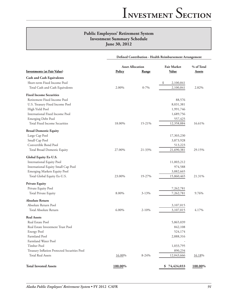|                                              | Defined Contribution - Health Reimbursement Arrangement |           |                    |               |  |  |
|----------------------------------------------|---------------------------------------------------------|-----------|--------------------|---------------|--|--|
|                                              | <b>Asset Allocation</b>                                 |           | <b>Fair Market</b> | % of Total    |  |  |
| <b>Investments (at Fair Value)</b>           | Policy                                                  | Range     | <b>Value</b>       | <b>Assets</b> |  |  |
| <b>Cash and Cash Equivalents</b>             |                                                         |           |                    |               |  |  |
| Short-term Fixed Income Pool                 |                                                         |           | \$<br>2,100,841    |               |  |  |
| Total Cash and Cash Equivalents              | 2.00%                                                   | $0 - 7\%$ | 2,100,841          | 2.82%         |  |  |
| <b>Fixed Income Securities</b>               |                                                         |           |                    |               |  |  |
| Retirement Fixed Income Pool                 |                                                         |           | 88,576             |               |  |  |
| U.S. Treasury Fixed Income Pool              |                                                         |           | 8,031,381          |               |  |  |
| High Yield Pool                              |                                                         |           | 1,991,746          |               |  |  |
| International Fixed Income Pool              |                                                         |           | 1,689,756          |               |  |  |
| <b>Emerging Debt Pool</b>                    |                                                         |           | 557,425            |               |  |  |
| Total Fixed Income Securities                | 18.00%                                                  | 15-21%    | 12,358,884         | 16.61%        |  |  |
| <b>Broad Domestic Equity</b>                 |                                                         |           |                    |               |  |  |
| Large Cap Pool                               |                                                         |           | 17,303,230         |               |  |  |
| Small Cap Pool                               |                                                         |           | 3,873,928          |               |  |  |
| Convertible Bond Pool                        |                                                         |           | 513,223            |               |  |  |
| Total Broad Domestic Equity                  | 27.00%                                                  | 21-33%    | 21,690,381         | 29.15%        |  |  |
| Global Equity Ex-U.S.                        |                                                         |           |                    |               |  |  |
| <b>International Equity Pool</b>             |                                                         |           | 11,003,212         |               |  |  |
| International Equity Small Cap Pool          |                                                         |           | 974,588            |               |  |  |
| Emerging Markets Equity Pool                 |                                                         |           | 3,882,665          |               |  |  |
| Total Global Equity Ex-U.S.                  | 23.00%                                                  | 19-27%    | 15,860,465         | 21.31%        |  |  |
| <b>Private Equity</b>                        |                                                         |           |                    |               |  |  |
| Private Equity Pool                          |                                                         |           | 7,262,781          |               |  |  |
| <b>Total Private Equity</b>                  | 8.00%                                                   | $3 - 13%$ | 7,262,781          | 9.76%         |  |  |
| <b>Absolute Return</b>                       |                                                         |           |                    |               |  |  |
| Absolute Return Pool                         |                                                         |           | 3,107,015          |               |  |  |
| Total Absolute Return                        | 6.00%                                                   | $2 - 10%$ | 3,107,015          | 4.17%         |  |  |
| <b>Real Assets</b>                           |                                                         |           |                    |               |  |  |
| Real Estate Pool                             |                                                         |           | 5,865,039          |               |  |  |
| Real Estate Investment Trust Pool            |                                                         |           | 842,108            |               |  |  |
| <b>Energy Pool</b>                           |                                                         |           | 524,174            |               |  |  |
| Farmland Pool                                |                                                         |           | 2,888,316          |               |  |  |
| Farmland Water Pool                          |                                                         |           |                    |               |  |  |
| Timber Pool                                  |                                                         |           | 1,033,795          |               |  |  |
| Treasury Inflation Protected Securities Pool |                                                         |           | 890,234            |               |  |  |
| Total Real Assets                            | 16.00%                                                  | $8 - 24%$ | 12,043,666         | 16.18%        |  |  |
| <b>Total Invested Assets</b>                 | 100.00%                                                 |           | \$74,424,033       | 100.00%       |  |  |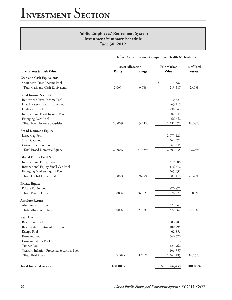|                                              | Defined Contribution - Occupational Dealth & Disability |              |                    |               |  |  |
|----------------------------------------------|---------------------------------------------------------|--------------|--------------------|---------------|--|--|
|                                              | <b>Asset Allocation</b>                                 |              | <b>Fair Market</b> | % of Total    |  |  |
| <b>Investments (at Fair Value)</b>           | Policy                                                  | <b>Range</b> | <b>Value</b>       | <b>Assets</b> |  |  |
| <b>Cash and Cash Equivalents</b>             |                                                         |              |                    |               |  |  |
| Short-term Fixed Income Pool                 |                                                         |              | \$<br>213,387      |               |  |  |
| Total Cash and Cash Equivalents              | 2.00%                                                   | $0 - 7\%$    | 213,387            | 2.40%         |  |  |
| <b>Fixed Income Securities</b>               |                                                         |              |                    |               |  |  |
| Retirement Fixed Income Pool                 |                                                         |              | 10,621             |               |  |  |
| U.S. Treasury Fixed Income Pool              |                                                         |              | 963,117            |               |  |  |
| High Yield Pool                              |                                                         |              | 238,843            |               |  |  |
| <b>International Fixed Income Pool</b>       |                                                         |              | 202,649            |               |  |  |
| <b>Emerging Debt Pool</b>                    |                                                         |              | 66,842             |               |  |  |
| Total Fixed Income Securities                | 18.00%                                                  | 15-21%       | 1,482,072          | 16.68%        |  |  |
| <b>Broad Domestic Equity</b>                 |                                                         |              |                    |               |  |  |
| Large Cap Pool                               |                                                         |              | 2,075,121          |               |  |  |
| Small Cap Pool                               |                                                         |              | 464,572            |               |  |  |
| Convertible Bond Pool                        |                                                         |              | 61,545             |               |  |  |
| Total Broad Domestic Equity                  | 27.00%                                                  | 21-33%       | 2,601,238          | 29.28%        |  |  |
| Global Equity Ex-U.S.                        |                                                         |              |                    |               |  |  |
| <b>International Equity Pool</b>             |                                                         |              | 1,319,606          |               |  |  |
| International Equity Small Cap Pool          |                                                         |              | 116,872            |               |  |  |
| Emerging Markets Equity Pool                 |                                                         |              | 465,632            |               |  |  |
| Total Global Equity Ex-U.S.                  | 23.00%                                                  | 19-27%       | 1,902,110          | 21.40%        |  |  |
| <b>Private Equity</b>                        |                                                         |              |                    |               |  |  |
| Private Equity Pool                          |                                                         |              | 870,871            |               |  |  |
| Total Private Equity                         | 8.00%                                                   | 3-13%        | 870,871            | 9.80%         |  |  |
| <b>Absolute Return</b>                       |                                                         |              |                    |               |  |  |
| Absolute Return Pool                         |                                                         |              | 372,567            |               |  |  |
| Total Absolute Return                        | 6.00%                                                   | $2 - 10%$    | 372,567            | 4.19%         |  |  |
| <b>Real Assets</b>                           |                                                         |              |                    |               |  |  |
| Real Estate Pool                             |                                                         |              | 703,289            |               |  |  |
| Real Estate Investment Trust Pool            |                                                         |              | 100,995            |               |  |  |
| <b>Energy Pool</b>                           |                                                         |              | 62,856             |               |  |  |
| Farmland Pool                                |                                                         |              | 346,326            |               |  |  |
| Farmland Water Pool                          |                                                         |              |                    |               |  |  |
| Timber Pool                                  |                                                         |              | 123,962            |               |  |  |
| Treasury Inflation Protected Securities Pool |                                                         |              | 106,757            |               |  |  |
| <b>Total Real Assets</b>                     | 16.00%                                                  | $8-24%$      | 1,444,185          | 16.25%        |  |  |
| <b>Total Invested Assets</b>                 | 100.00%                                                 |              | \$8,886,430        | 100.00%       |  |  |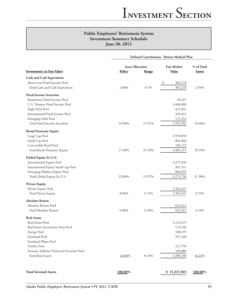|                                              | Defined Contribution - Retiree Medical Plan |           |                    |               |  |
|----------------------------------------------|---------------------------------------------|-----------|--------------------|---------------|--|
| <b>Investments (at Fair Value)</b>           | <b>Asset Allocation</b>                     |           | <b>Fair Market</b> | % of Total    |  |
|                                              | <b>Policy</b>                               | Range     | <b>Value</b>       | <b>Assets</b> |  |
| <b>Cash and Cash Equivalents</b>             |                                             |           |                    |               |  |
| Short-term Fixed Income Pool                 |                                             |           | 383,278<br>\$      |               |  |
| Total Cash and Cash Equivalents              | 2.00%                                       | $0 - 7\%$ | 383,278            | 2.50%         |  |
| <b>Fixed Income Securities</b>               |                                             |           |                    |               |  |
| Retirement Fixed Income Pool                 |                                             |           | 18,315             |               |  |
| U.S. Treasury Fixed Income Pool              |                                             |           | 1,660,680          |               |  |
| High Yield Pool                              |                                             |           | 411,831            |               |  |
| International Fixed Income Pool              |                                             |           | 349,422            |               |  |
| <b>Emerging Debt Pool</b>                    |                                             |           | 115,254            |               |  |
| Total Fixed Income Securities                | 18.00%                                      | 15-21%    | 2,555,502          | 16.66%        |  |
| <b>Broad Domestic Equity</b>                 |                                             |           |                    |               |  |
| Large Cap Pool                               |                                             |           | 3,578,050          |               |  |
| Small Cap Pool                               |                                             |           | 801,046            |               |  |
| Convertible Bond Pool                        |                                             |           | 106,119            |               |  |
| Total Broad Domestic Equity                  | 27.00%                                      | 21-33%    | 4,485,215          | 29.24%        |  |
| Global Equity Ex-U.S.                        |                                             |           |                    |               |  |
| International Equity Pool                    |                                             |           | 2,275,339          |               |  |
| International Equity Small Cap Pool          |                                             |           | 201,521            |               |  |
| Emerging Markets Equity Pool                 |                                             |           | 802,870            |               |  |
| Total Global Equity Ex-U.S.                  | 23.00%                                      | 19-27%    | 3,279,730          | 21.38%        |  |
| <b>Private Equity</b>                        |                                             |           |                    |               |  |
| Private Equity Pool                          |                                             |           | 1,501,637          |               |  |
| <b>Total Private Equity</b>                  | 8.00%                                       | $3 - 13%$ | 1,501,637          | 9.79%         |  |
| <b>Absolute Return</b>                       |                                             |           |                    |               |  |
| Absolute Return Pool                         |                                             |           | 642,413            |               |  |
| Total Absolute Return                        | 6.00%                                       | $2 - 10%$ | 642,413            | 4.19%         |  |
| <b>Real Assets</b>                           |                                             |           |                    |               |  |
| Real Estate Pool                             |                                             |           | 1,212,673          |               |  |
| Real Estate Investment Trust Pool            |                                             |           | 174,140            |               |  |
| <b>Energy Pool</b>                           |                                             |           | 108,379            |               |  |
| Farmland Pool                                |                                             |           | 597,168            |               |  |
| Farmland Water Pool                          |                                             |           |                    |               |  |
| Timber Pool                                  |                                             |           | 213,750            |               |  |
| Treasury Inflation Protected Securities Pool |                                             |           | 184,080            |               |  |
| <b>Total Real Assets</b>                     | 16.00%                                      | $8 - 24%$ | 2,490,190          | 16.24%        |  |
|                                              |                                             |           |                    |               |  |
| <b>Total Invested Assets</b>                 | 100.00%                                     |           | \$15,337,965       | 100.00%       |  |